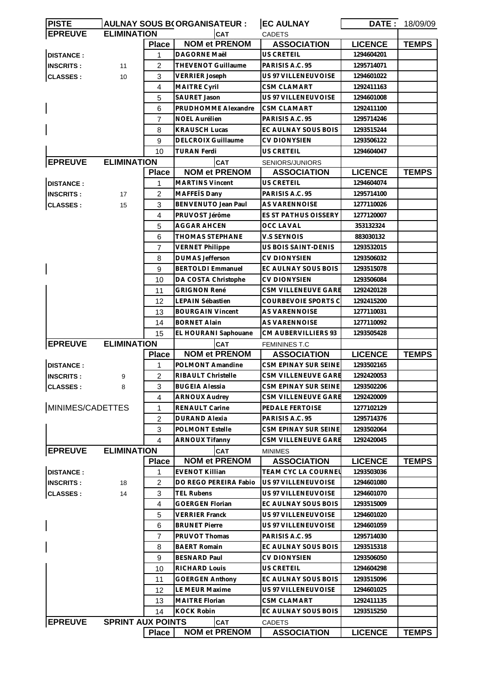| <b>PISTE</b>     |                          |                | <b>AULNAY SOUS B(ORGANISATEUR:</b> | <b>EC AULNAY</b>                           | DATE:          | 18/09/09     |
|------------------|--------------------------|----------------|------------------------------------|--------------------------------------------|----------------|--------------|
| <b>EPREUVE</b>   | <b>ELIMINATION</b>       |                | CAT                                | <b>CADETS</b>                              |                |              |
|                  |                          | <b>Place</b>   | <b>NOM et PRENOM</b>               | <b>ASSOCIATION</b>                         | <b>LICENCE</b> | <b>TEMPS</b> |
| <b>DISTANCE:</b> |                          | 1              | DAGORNE Maël                       | US CRETEIL                                 | 1294604201     |              |
| <b>INSCRITS:</b> | 11                       | 2              | THEVENOT Guillaume                 | PARISIS A.C. 95                            | 1295714071     |              |
| <b>CLASSES:</b>  | 10                       | 3              | <b>VERRIER Joseph</b>              | US 97 VILLENEUVOISE                        | 1294601022     |              |
|                  |                          | $\overline{4}$ | <b>MAITRE Cyril</b>                | <b>CSM CLAMART</b>                         | 1292411163     |              |
|                  |                          | 5              | SAURET Jason                       | US 97 VILLENEUVOISE                        | 1294601008     |              |
|                  |                          | 6              | PRUDHOMME Alexandre                | <b>CSM CLAMART</b>                         | 1292411100     |              |
|                  |                          | $\overline{7}$ | <b>NOEL Aurélien</b>               | PARISIS A.C. 95                            | 1295714246     |              |
|                  |                          | 8              | <b>KRAUSCH Lucas</b>               | EC AULNAY SOUS BOIS                        | 1293515244     |              |
|                  |                          | 9              | <b>DELCROIX Guillaume</b>          | <b>CV DIONYSIEN</b>                        | 1293506122     |              |
|                  |                          | 10             | <b>TURAN Ferdi</b>                 | US CRETEIL                                 | 1294604047     |              |
| <b>EPREUVE</b>   | <b>ELIMINATION</b>       |                | CAT                                | SENIORS/JUNIORS                            |                |              |
|                  |                          | <b>Place</b>   | <b>NOM et PRENOM</b>               | <b>ASSOCIATION</b>                         | <b>LICENCE</b> | <b>TEMPS</b> |
| <b>DISTANCE:</b> |                          | 1              | <b>MARTINS Vincent</b>             | US CRETEIL                                 | 1294604074     |              |
| <b>INSCRITS:</b> | 17                       | 2              | MAFFETS Dany                       | PARISIS A.C. 95                            | 1295714100     |              |
| <b>CLASSES:</b>  | 15                       | 3              | BENVENUTO Jean Paul                | <b>AS VARENNOISE</b>                       | 1277110026     |              |
|                  |                          | $\overline{4}$ | PRUVOST Jérôme                     | ES ST PATHUS OISSERY                       | 1277120007     |              |
|                  |                          | 5              | AGGAR AHCEN                        | <b>OCC LAVAL</b>                           | 353132324      |              |
|                  |                          | 6              | THOMAS STEPHANE                    | V.S SEYNOIS                                | 883030132      |              |
|                  |                          | $\overline{7}$ | <b>VERNET Philippe</b>             | US BOIS SAINT-DENIS                        | 1293532015     |              |
|                  |                          | 8              | <b>DUMAS Jefferson</b>             | <b>CV DIONYSIEN</b>                        | 1293506032     |              |
|                  |                          | 9              | <b>BERTOLDI Emmanuel</b>           | EC AULNAY SOUS BOIS                        | 1293515078     |              |
|                  |                          | 10             | DA COSTA Christophe                | <b>CV DIONYSIEN</b>                        | 1293506084     |              |
|                  |                          | 11             | <b>GRIGNON René</b>                | CSM VILLENEUVE GARE                        | 1292420128     |              |
|                  |                          | 12             | LEPAIN Sébastien                   | COURBEVOIE SPORTS C                        | 1292415200     |              |
|                  |                          | 13             | <b>BOURGAIN Vincent</b>            | AS VARENNOISE                              | 1277110031     |              |
|                  |                          | 14             | <b>BORNET Alain</b>                | AS VARENNOISE                              | 1277110092     |              |
|                  |                          | 15             | EL HOURANI Saphouane               | CM AUBERVILLIERS 93                        | 1293505428     |              |
| <b>EPREUVE</b>   | <b>ELIMINATION</b>       |                |                                    |                                            |                |              |
|                  |                          | <b>Place</b>   | CAT<br><b>NOM et PRENOM</b>        | <b>FEMININES T.C</b><br><b>ASSOCIATION</b> | <b>LICENCE</b> | <b>TEMPS</b> |
| <b>DISTANCE:</b> |                          | $\mathbf 1$    | POLMONT Amandine                   | CSM EPINAY SUR SEINE                       | 1293502165     |              |
| <b>INSCRITS:</b> |                          | $\overline{2}$ | RIBAULT Christelle                 | <b>CSM VILLENEUVE GARE</b>                 | 1292420053     |              |
|                  | 9                        |                |                                    |                                            |                |              |
| <b>CLASSES:</b>  | 8                        | 3              | <b>BUGEIA Alessia</b>              | CSM EPINAY SUR SEINE                       | 1293502206     |              |
| MINIMES/CADETTES |                          | 4              | <b>ARNOUX Audrey</b>               | CSM VILLENEUVE GARE                        | 1292420009     |              |
|                  |                          | 1              | RENAULT Carine                     | PEDALE FERTOISE                            | 1277102129     |              |
|                  |                          | 2              | <b>DURAND Alexia</b>               | PARISIS A.C. 95<br>CSM EPINAY SUR SEINE    | 1295714376     |              |
|                  |                          | 3              | <b>POLMONT Estelle</b>             |                                            | 1293502064     |              |
|                  |                          | 4              | ARNOUX Tifanny                     | <b>CSM VILLENEUVE GARE</b>                 | 1292420045     |              |
| <b>EPREUVE</b>   | <b>ELIMINATION</b>       |                | CAT                                | <b>MINIMES</b>                             |                |              |
|                  |                          | <b>Place</b>   | <b>NOM et PRENOM</b>               | <b>ASSOCIATION</b>                         | <b>LICENCE</b> | <b>TEMPS</b> |
| <b>DISTANCE:</b> |                          | 1.             | <b>EVENOT Killian</b>              | TEAM CYC LA COURNEL                        | 1293503036     |              |
| <b>INSCRITS:</b> | 18                       | 2              | DO REGO PEREIRA Fabio              | US 97 VILLENEUVOISE                        | 1294601080     |              |
| <b>CLASSES:</b>  | 14                       | 3              | TEL Rubens                         | US 97 VILLENEUVOISE                        | 1294601070     |              |
|                  |                          | 4              | <b>GOERGEN Florian</b>             | EC AULNAY SOUS BOIS                        | 1293515009     |              |
|                  |                          | 5              | <b>VERRIER Franck</b>              | US 97 VILLENEUVOISE                        | 1294601020     |              |
|                  |                          | 6              | <b>BRUNET Pierre</b>               | US 97 VILLENEUVOISE                        | 1294601059     |              |
|                  |                          | 7              | PRUVOT Thomas                      | PARISIS A.C. 95                            | 1295714030     |              |
|                  |                          | 8              | <b>BAERT Romain</b>                | EC AULNAY SOUS BOIS                        | 1293515318     |              |
|                  |                          | 9              | <b>BESNARD Paul</b>                | <b>CV DIONYSIEN</b>                        | 1293506050     |              |
|                  |                          | 10             | RICHARD Louis                      | US CRETEIL                                 | 1294604298     |              |
|                  |                          | 11             | <b>GOERGEN Anthony</b>             | EC AULNAY SOUS BOIS                        | 1293515096     |              |
|                  |                          | 12             | LE MEUR Maxime                     | US 97 VILLENEUVOISE                        | 1294601025     |              |
|                  |                          | 13             | MAITRE Florian                     | <b>CSM CLAMART</b>                         | 1292411135     |              |
|                  |                          | 14             | <b>KOCK Robin</b>                  | EC AULNAY SOUS BOIS                        | 1293515250     |              |
| <b>EPREUVE</b>   | <b>SPRINT AUX POINTS</b> |                | CAT                                | CADETS                                     |                |              |
|                  |                          | <b>Place</b>   | <b>NOM et PRENOM</b>               | <b>ASSOCIATION</b>                         | <b>LICENCE</b> | <b>TEMPS</b> |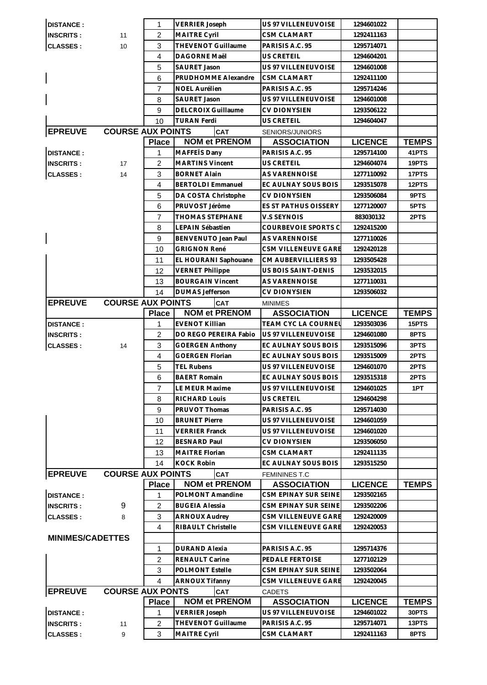| <b>DISTANCE:</b>        |                          | 1              | <b>VERRIER Joseph</b>     | US 97 VILLENEUVOISE                         | 1294601022     |              |
|-------------------------|--------------------------|----------------|---------------------------|---------------------------------------------|----------------|--------------|
| <b>INSCRITS:</b>        | 11                       | $\overline{2}$ | MAITRE Cyril              | <b>CSM CLAMART</b>                          | 1292411163     |              |
| <b>CLASSES:</b>         | 10                       | 3              | THEVENOT Guillaume        | PARISIS A.C. 95                             | 1295714071     |              |
|                         |                          | $\overline{4}$ | DAGORNE Maël              | US CRETEIL                                  | 1294604201     |              |
|                         |                          | 5              | <b>SAURET Jason</b>       | US 97 VILLENEUVOISE                         | 1294601008     |              |
|                         |                          | 6              | PRUDHOMME Alexandre       | <b>CSM CLAMART</b>                          | 1292411100     |              |
|                         |                          | 7              | NOEL Aurélien             | PARISIS A.C. 95                             | 1295714246     |              |
|                         |                          | 8              | SAURET Jason              | US 97 VILLENEUVOISE                         | 1294601008     |              |
|                         |                          | 9              | <b>DELCROIX Guillaume</b> | <b>CV DIONYSIEN</b>                         | 1293506122     |              |
|                         |                          | 10             | <b>TURAN Ferdi</b>        | <b>US CRETEIL</b>                           | 1294604047     |              |
| <b>EPREUVE</b>          | <b>COURSE AUX POINTS</b> |                | <b>CAT</b>                | SENIORS/JUNIORS                             |                |              |
|                         |                          | <b>Place</b>   | <b>NOM et PRENOM</b>      | <b>ASSOCIATION</b>                          | <b>LICENCE</b> | <b>TEMPS</b> |
| <b>DISTANCE:</b>        |                          | 1              | MAFFETS Dany              | PARISIS A.C. 95                             | 1295714100     | 41PTS        |
| <b>INSCRITS:</b>        | 17                       | 2              | <b>MARTINS Vincent</b>    | US CRETEIL                                  | 1294604074     | 19PTS        |
| <b>CLASSES:</b>         | 14                       | 3              | <b>BORNET Alain</b>       | AS VARENNOISE                               | 1277110092     | 17PTS        |
|                         |                          | 4              | <b>BERTOLDI Emmanuel</b>  | EC AULNAY SOUS BOIS                         | 1293515078     | 12PTS        |
|                         |                          | 5              | DA COSTA Christophe       | <b>CV DIONYSIEN</b>                         | 1293506084     | 9PTS         |
|                         |                          |                | PRUVOST Jérôme            | <b>ES ST PATHUS OISSERY</b>                 |                |              |
|                         |                          | 6              |                           |                                             | 1277120007     | 5PTS         |
|                         |                          | $\overline{7}$ | THOMAS STEPHANE           | <b>V.S SEYNOIS</b>                          | 883030132      | 2PTS         |
|                         |                          | 8              | <b>LEPAIN Sébastien</b>   | COURBEVOIE SPORTS C<br><b>AS VARENNOISE</b> | 1292415200     |              |
|                         |                          | 9              | BENVENUTO Jean Paul       |                                             | 1277110026     |              |
|                         |                          | 10             | <b>GRIGNON René</b>       | CSM VILLENEUVE GARE                         | 1292420128     |              |
|                         |                          | 11             | EL HOURANI Saphouane      | CM AUBERVILLIERS 93                         | 1293505428     |              |
|                         |                          | 12             | <b>VERNET Philippe</b>    | US BOIS SAINT-DENIS                         | 1293532015     |              |
|                         |                          | 13             | <b>BOURGAIN Vincent</b>   | AS VARENNOISE                               | 1277110031     |              |
|                         |                          | 14             | <b>DUMAS Jefferson</b>    | <b>CV DIONYSIEN</b>                         | 1293506032     |              |
| <b>EPREUVE</b>          | <b>COURSE AUX POINTS</b> |                | CAT                       | <b>MINIMES</b>                              |                |              |
|                         |                          | <b>Place</b>   | <b>NOM et PRENOM</b>      | <b>ASSOCIATION</b>                          | <b>LICENCE</b> | <b>TEMPS</b> |
| <b>DISTANCE:</b>        |                          | 1              | <b>EVENOT Killian</b>     | TEAM CYC LA COURNEL                         | 1293503036     | 15PTS        |
| <b>INSCRITS:</b>        |                          | 2              | DO REGO PEREIRA Fabio     | US 97 VILLENEUVOISE                         | 1294601080     | 8PTS         |
| <b>CLASSES:</b>         | 14                       | 3              | <b>GOERGEN Anthony</b>    | EC AULNAY SOUS BOIS                         | 1293515096     | 3PTS         |
|                         |                          | 4              | <b>GOERGEN Florian</b>    | EC AULNAY SOUS BOIS                         | 1293515009     | 2PTS         |
|                         |                          | 5              | <b>TEL Rubens</b>         | US 97 VILLENEUVOISE                         | 1294601070     | 2PTS         |
|                         |                          | 6              | <b>BAERT Romain</b>       | EC AULNAY SOUS BOIS                         | 1293515318     | 2PTS         |
|                         |                          | 7              | LE MEUR Maxime            | US 97 VILLENEUVOISE                         | 1294601025     | 1PT          |
|                         |                          | 8              | <b>RICHARD Louis</b>      | <b>US CRETEIL</b>                           | 1294604298     |              |
|                         |                          | 9              | PRUVOT Thomas             | PARISIS A.C. 95                             | 1295714030     |              |
|                         |                          | 10             | <b>BRUNET Pierre</b>      | US 97 VILLENEUVOISE                         | 1294601059     |              |
|                         |                          | 11             | <b>VERRIER Franck</b>     | US 97 VILLENEUVOISE                         | 1294601020     |              |
|                         |                          | 12             | <b>BESNARD Paul</b>       | <b>CV DIONYSIEN</b>                         | 1293506050     |              |
|                         |                          | 13             | <b>MAITRE Florian</b>     | <b>CSM CLAMART</b>                          | 1292411135     |              |
|                         |                          | 14             | <b>KOCK Robin</b>         | EC AULNAY SOUS BOIS                         | 1293515250     |              |
| <b>EPREUVE</b>          | <b>COURSE AUX POINTS</b> |                | <b>CAT</b>                | <b>FEMININES T.C</b>                        |                |              |
|                         |                          | <b>Place</b>   | <b>NOM et PRENOM</b>      | <b>ASSOCIATION</b>                          | <b>LICENCE</b> | <b>TEMPS</b> |
| <b>DISTANCE:</b>        |                          | 1              | POLMONT Amandine          | CSM EPINAY SUR SEINE                        | 1293502165     |              |
| <b>INSCRITS:</b>        | 9                        | 2              | <b>BUGEIA Alessia</b>     | CSM EPINAY SUR SEINE                        | 1293502206     |              |
| <b>CLASSES:</b>         | 8                        | 3              | <b>ARNOUX Audrey</b>      | CSM VILLENEUVE GARE                         | 1292420009     |              |
|                         |                          | 4              | RIBAULT Christelle        | CSM VILLENEUVE GARE                         | 1292420053     |              |
| <b>MINIMES/CADETTES</b> |                          |                |                           |                                             |                |              |
|                         |                          | 1              | <b>DURAND Alexia</b>      | PARISIS A.C. 95                             | 1295714376     |              |
|                         |                          | $\overline{2}$ | RENAULT Carine            | PEDALE FERTOISE                             | 1277102129     |              |
|                         |                          | 3              | <b>POLMONT Estelle</b>    | <b>CSM EPINAY SUR SEINE</b>                 | 1293502064     |              |
|                         |                          | 4              | <b>ARNOUX Tifanny</b>     | CSM VILLENEUVE GARE                         | 1292420045     |              |
| <b>EPREUVE</b>          | <b>COURSE AUX PONTS</b>  |                | <b>CAT</b>                | <b>CADETS</b>                               |                |              |
|                         |                          | <b>Place</b>   | <b>NOM et PRENOM</b>      | <b>ASSOCIATION</b>                          | <b>LICENCE</b> | <b>TEMPS</b> |
| <b>DISTANCE:</b>        |                          | 1              | <b>VERRIER Joseph</b>     | US 97 VILLENEUVOISE                         | 1294601022     | 30PTS        |
| <b>INSCRITS:</b>        | 11                       | $\overline{2}$ | THEVENOT Guillaume        | PARISIS A.C. 95                             | 1295714071     | 13PTS        |
| <b>CLASSES:</b>         | 9                        | 3              | <b>MAITRE Cyril</b>       | <b>CSM CLAMART</b>                          | 1292411163     | 8PTS         |
|                         |                          |                |                           |                                             |                |              |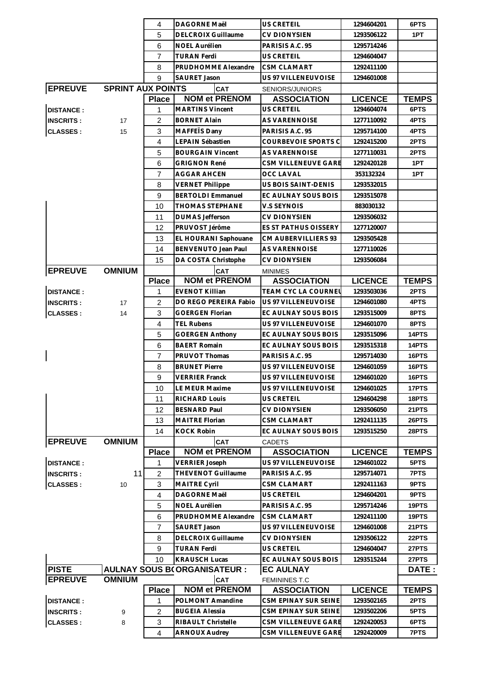|                                                                |                          | 4              | <b>DAGORNE Maël</b>                | <b>US CRETEIL</b>    | 1294604201     | 6PTS         |
|----------------------------------------------------------------|--------------------------|----------------|------------------------------------|----------------------|----------------|--------------|
|                                                                |                          | 5              | <b>DELCROIX Guillaume</b>          | <b>CV DIONYSIEN</b>  | 1293506122     | 1PT          |
|                                                                |                          | 6              | <b>NOEL Aurélien</b>               | PARISIS A.C. 95      | 1295714246     |              |
|                                                                |                          | 7              | <b>TURAN Ferdi</b>                 | US CRETEIL           | 1294604047     |              |
|                                                                |                          | 8              | PRUDHOMME Alexandre                | <b>CSM CLAMART</b>   | 1292411100     |              |
|                                                                |                          | 9              | SAURET Jason                       | US 97 VILLENEUVOISE  | 1294601008     |              |
| <b>EPREUVE</b>                                                 | <b>SPRINT AUX POINTS</b> |                | <b>CAT</b>                         | SENIORS/JUNIORS      |                |              |
|                                                                |                          | <b>Place</b>   | <b>NOM et PRENOM</b>               | <b>ASSOCIATION</b>   | <b>LICENCE</b> | <b>TEMPS</b> |
| <b>DISTANCE:</b>                                               |                          | 1              | <b>MARTINS Vincent</b>             | US CRETEIL           | 1294604074     | 6PTS         |
| <b>INSCRITS:</b>                                               | 17                       | 2              | <b>BORNET Alain</b>                | AS VARENNOISE        | 1277110092     | 4PTS         |
| <b>CLASSES:</b>                                                | 15                       | 3              | MAFFEIS Dany                       | PARISIS A.C. 95      | 1295714100     | 4PTS         |
|                                                                |                          | $\overline{4}$ | LEPAIN Sébastien                   | COURBEVOIE SPORTS C  | 1292415200     | 2PTS         |
|                                                                |                          | 5              | <b>BOURGAIN Vincent</b>            | <b>AS VARENNOISE</b> | 1277110031     | 2PTS         |
|                                                                |                          | 6              | <b>GRIGNON René</b>                | CSM VILLENEUVE GARE  | 1292420128     | 1PT          |
|                                                                |                          | $\overline{7}$ | <b>AGGAR AHCEN</b>                 | OCC LAVAL            | 353132324      | 1PT          |
|                                                                |                          | 8              | <b>VERNET Philippe</b>             | US BOIS SAINT-DENIS  | 1293532015     |              |
|                                                                |                          | 9              | <b>BERTOLDI Emmanuel</b>           | EC AULNAY SOUS BOIS  | 1293515078     |              |
|                                                                |                          | 10             | <b>THOMAS STEPHANE</b>             | V.S SEYNOIS          | 883030132      |              |
|                                                                |                          | 11             | <b>DUMAS Jefferson</b>             | CV DIONYSIEN         | 1293506032     |              |
|                                                                |                          | 12             | PRUVOST Jérôme                     | ES ST PATHUS OISSERY | 1277120007     |              |
|                                                                |                          | 13             | EL HOURANI Saphouane               | CM AUBERVILLIERS 93  | 1293505428     |              |
|                                                                |                          | 14             | BENVENUTO Jean Paul                | <b>AS VARENNOISE</b> | 1277110026     |              |
|                                                                |                          | 15             | DA COSTA Christophe                | <b>CV DIONYSIEN</b>  | 1293506084     |              |
| <b>EPREUVE</b>                                                 | <b>OMNIUM</b>            |                | CAT                                | <b>MINIMES</b>       |                |              |
|                                                                |                          | <b>Place</b>   | <b>NOM et PRENOM</b>               | <b>ASSOCIATION</b>   | <b>LICENCE</b> | <b>TEMPS</b> |
| <b>DISTANCE:</b>                                               |                          | 1              | <b>EVENOT Killian</b>              | TEAM CYC LA COURNEl  | 1293503036     | 2PTS         |
| <b>INSCRITS:</b>                                               | 17                       | $\overline{2}$ | DO REGO PEREIRA Fabio              | US 97 VILLENEUVOISE  | 1294601080     | 4PTS         |
| <b>CLASSES:</b>                                                | 14                       | 3              | <b>GOERGEN Florian</b>             | EC AULNAY SOUS BOIS  | 1293515009     | 8PTS         |
|                                                                |                          | 4              | <b>TEL Rubens</b>                  | US 97 VILLENEUVOISE  | 1294601070     | 8PTS         |
|                                                                |                          | 5              | <b>GOERGEN Anthony</b>             | EC AULNAY SOUS BOIS  | 1293515096     | 14PTS        |
|                                                                |                          | 6              | <b>BAERT Romain</b>                | EC AULNAY SOUS BOIS  | 1293515318     | 14PTS        |
|                                                                |                          | $\overline{7}$ | PRUVOT Thomas                      | PARISIS A.C. 95      | 1295714030     | 16PTS        |
|                                                                |                          | 8              | <b>BRUNET Pierre</b>               | US 97 VILLENEUVOISE  | 1294601059     | 16PTS        |
|                                                                |                          | 9              | <b>VERRIER Franck</b>              | US 97 VILLENEUVOISE  | 1294601020     | 16PTS        |
|                                                                |                          | 10             | LE MEUR Maxime                     | US 97 VILLENEUVOISE  | 1294601025     | 17PTS        |
|                                                                |                          | 11             | RICHARD Louis                      | <b>US CRETEIL</b>    | 1294604298     | 18PTS        |
|                                                                |                          | 12             | <b>BESNARD Paul</b>                | CV DIONYSIEN         | 1293506050     | 21PTS        |
|                                                                |                          | 13             | MAITRE Florian                     | CSM CLAMART          | 1292411135     | 26PTS        |
|                                                                |                          | 14             | <b>KOCK Robin</b>                  | EC AULNAY SOUS BOIS  | 1293515250     | 28PTS        |
| <b>EPREUVE</b>                                                 | <b>OMNIUM</b>            |                | <b>CAT</b>                         | <b>CADETS</b>        |                |              |
|                                                                |                          | <b>Place</b>   | <b>NOM et PRENOM</b>               | <b>ASSOCIATION</b>   | <b>LICENCE</b> | <b>TEMPS</b> |
| <b>DISTANCE:</b>                                               |                          | 1              | <b>VERRIER Joseph</b>              | US 97 VILLENEUVOISE  | 1294601022     | 5PTS         |
| <b>INSCRITS:</b>                                               | 11                       | $\overline{2}$ | THEVENOT Guillaume                 | PARISIS A.C. 95      | 1295714071     | 7PTS         |
| <b>CLASSES:</b>                                                | 10                       | 3              | MAITRE Cyril                       | CSM CLAMART          | 1292411163     | 9PTS         |
|                                                                |                          | $\overline{4}$ | DAGORNE Maël                       | US CRETEIL           | 1294604201     | 9PTS         |
|                                                                |                          | 5              | NOEL Aurélien                      | PARISIS A.C. 95      | 1295714246     | 19PTS        |
|                                                                |                          | 6              | PRUDHOMME Alexandre                | CSM CLAMART          | 1292411100     | 19PTS        |
|                                                                |                          | $\overline{7}$ | <b>SAURET Jason</b>                | US 97 VILLENEUVOISE  | 1294601008     | 21PTS        |
|                                                                |                          | 8              | <b>DELCROIX Guillaume</b>          | CV DIONYSIEN         | 1293506122     | 22PTS        |
|                                                                |                          | 9              | <b>TURAN Ferdi</b>                 | US CRETEIL           | 1294604047     | 27PTS        |
|                                                                |                          | 10             | <b>KRAUSCH Lucas</b>               | EC AULNAY SOUS BOIS  | 1293515244     | 27PTS        |
| <b>PISTE</b>                                                   |                          |                | <b>AULNAY SOUS B(ORGANISATEUR:</b> | <b>EC AULNAY</b>     |                | DATE :       |
| <b>EPREUVE</b><br><b>OMNIUM</b><br>CAT<br><b>FEMININES T.C</b> |                          |                |                                    |                      |                |              |
|                                                                |                          | <b>Place</b>   | <b>NOM et PRENOM</b>               | <b>ASSOCIATION</b>   | <b>LICENCE</b> | <b>TEMPS</b> |
| <b>DISTANCE:</b>                                               |                          | 1              | POLMONT Amandine                   | CSM EPINAY SUR SEINE | 1293502165     | 2PTS         |
| <b>INSCRITS:</b>                                               | 9                        | $\overline{2}$ | <b>BUGEIA Alessia</b>              | CSM EPINAY SUR SEINE | 1293502206     | 5PTS         |
| <b>CLASSES:</b>                                                | 8                        | 3              | RIBAULT Christelle                 | CSM VILLENEUVE GARE  | 1292420053     | 6PTS         |
|                                                                |                          | 4              | <b>ARNOUX Audrey</b>               | CSM VILLENEUVE GARE  | 1292420009     | 7PTS         |
|                                                                |                          |                |                                    |                      |                |              |